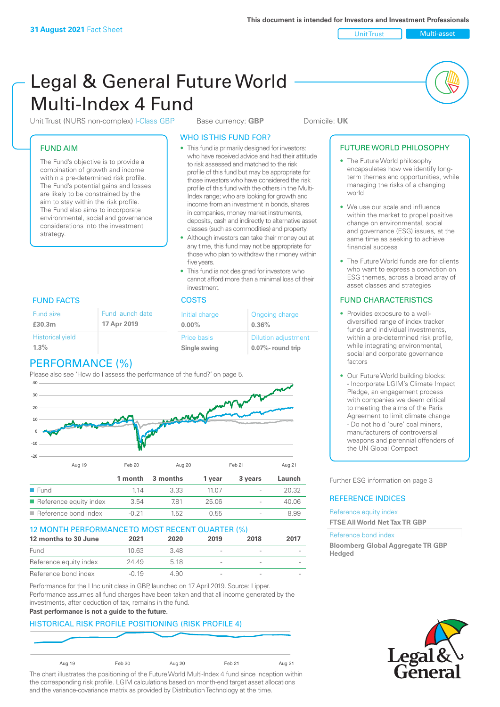Unit Trust Multi-asset

# Legal & General Future World Multi-Index 4 Fund

Unit Trust (NURS non-complex) I-Class GBP Base currency: **GBP** Domicile: UK

#### FUND AIM

The Fund's objective is to provide a combination of growth and income within a pre-determined risk profile. The Fund's potential gains and losses are likely to be constrained by the aim to stay within the risk profile. The Fund also aims to incorporate environmental, social and governance considerations into the investment strategy.

#### WHO IS THIS FUND FOR?

- This fund is primarily designed for investors: who have received advice and had their attitude to risk assessed and matched to the risk profile of this fund but may be appropriate for those investors who have considered the risk profile of this fund with the others in the Multi-Index range; who are looking for growth and income from an investment in bonds, shares in companies, money market instruments, deposits, cash and indirectly to alternative asset classes (such as commodities) and property.
- Although investors can take their money out at any time, this fund may not be appropriate for those who plan to withdraw their money within five years.
- This fund is not designed for investors who cannot afford more than a minimal loss of their investment.

| Fund launch date<br>17 Apr 2019 | Initial charge<br>$0.00\%$  | Ongoing charge<br>0.36%                             |
|---------------------------------|-----------------------------|-----------------------------------------------------|
|                                 | Price basis<br>Single swing | <b>Dilution adjustment</b><br>$0.07\%$ - round trip |

### FUND FACTS COSTS

Historical yield

Fund size **£30.3m**

**1.3%**

| PERFORMANCE (%) |  |  |
|-----------------|--|--|

Please also see 'How do I assess the performance of the fund?' on page 5.



#### 12 MONTH PERFORMANCE TO MOST RECENT QUARTER (%)

| 12 months to 30 June   | 2021    | 2020 | 2019                     | 2018                     | 2017 |
|------------------------|---------|------|--------------------------|--------------------------|------|
| Fund                   | 1063    | 348  | $\sim$                   | $\overline{\phantom{a}}$ |      |
| Reference equity index | 24 49   | 518  |                          |                          |      |
| Reference bond index   | $-0.19$ | 4.90 | $\overline{\phantom{a}}$ | $\sim$                   |      |

Performance for the I Inc unit class in GBP, launched on 17 April 2019. Source: Lipper. Performance assumes all fund charges have been taken and that all income generated by the investments, after deduction of tax, remains in the fund.

#### **Past performance is not a guide to the future.**

#### HISTORICAL RISK PROFILE POSITIONING (RISK PROFILE 4)



and the variance-covariance matrix as provided by Distribution Technology at the time.

The chart illustrates the positioning of the Future World Multi-Index 4 fund since inception within the corresponding risk profile. LGIM calculations based on month-end target asset allocations

Aug 19 Feb 20 Aug 20 Feb 21 Aug 21

### FUTURE WORLD PHILOSOPHY

- The Future World philosophy encapsulates how we identify longterm themes and opportunities, while managing the risks of a changing world
- We use our scale and influence within the market to propel positive change on environmental, social and governance (ESG) issues, at the same time as seeking to achieve financial success
- The Future World funds are for clients who want to express a conviction on ESG themes, across a broad array of asset classes and strategies

#### FUND CHARACTERISTICS

- Provides exposure to a welldiversified range of index tracker funds and individual investments, within a pre-determined risk profile while integrating environmental, social and corporate governance factors
- Our Future World building blocks: - Incorporate LGIM's Climate Impact Pledge, an engagement process with companies we deem critical to meeting the aims of the Paris Agreement to limit climate change - Do not hold 'pure' coal miners, manufacturers of controversial weapons and perennial offenders of the UN Global Compact

Further ESG information on page 3

#### REFERENCE INDICES

Reference equity index **FTSE All World Net Tax TR GBP**

#### Reference bond index

**Bloomberg Global Aggregate TR GBP Hedged**

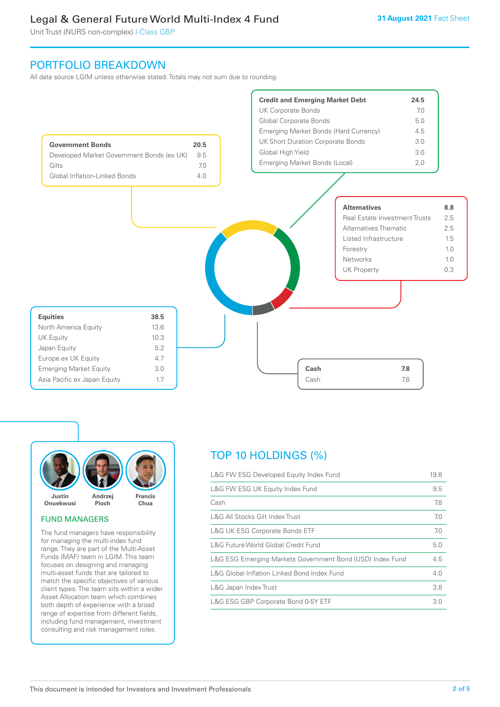Unit Trust (NURS non-complex) I-Class GBP

# PORTFOLIO BREAKDOWN

All data source LGIM unless otherwise stated. Totals may not sum due to rounding.





#### FUND MANAGERS

The fund managers have responsibility for managing the multi-index fund range. They are part of the Multi-Asset Funds (MAF) team in LGIM. This team focuses on designing and managing multi-asset funds that are tailored to match the specific objectives of various client types. The team sits within a wider Asset Allocation team which combines both depth of experience with a broad range of expertise from different fields, including fund management, investment consulting and risk management roles.

# TOP 10 HOLDINGS (%)

| L&G FW ESG Developed Equity Index Fund                    |     |
|-----------------------------------------------------------|-----|
| L&G FW ESG UK Equity Index Fund                           | 9.5 |
| Cash                                                      | 7.8 |
| L&G All Stocks Gilt Index Trust                           | 7.0 |
| <b>L&amp;G UK ESG Corporate Bonds ETF</b>                 | 7.0 |
| L&G Future World Global Credit Fund                       | 5.0 |
| L&G ESG Emerging Markets Government Bond (USD) Index Fund | 4.5 |
| L&G Global Inflation Linked Bond Index Fund               | 4.0 |
| L&G Japan Index Trust                                     | 3.8 |
| L&G ESG GBP Corporate Bond 0-5Y ETF                       | 3.0 |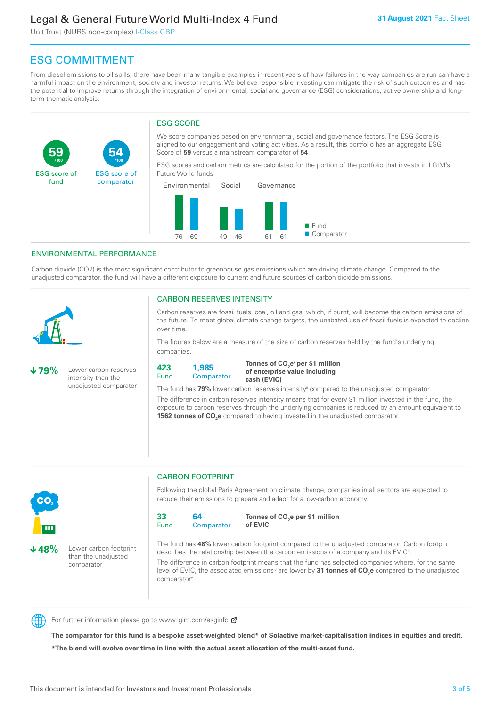Unit Trust (NURS non-complex) I-Class GBP

**54**

ESG score of comparator

# ESG COMMITMENT

From diesel emissions to oil spills, there have been many tangible examples in recent years of how failures in the way companies are run can have a harmful impact on the environment, society and investor returns. We believe responsible investing can mitigate the risk of such outcomes and has the potential to improve returns through the integration of environmental, social and governance (ESG) considerations, active ownership and longterm thematic analysis.

#### ESG SCORE

We score companies based on environmental, social and governance factors. The ESG Score is aligned to our engagement and voting activities. As a result, this portfolio has an aggregate ESG Score of **59** versus a mainstream comparator of **54**.

ESG scores and carbon metrics are calculated for the portion of the portfolio that invests in LGIM's Future World funds.



#### ENVIRONMENTAL PERFORMANCE

**/100 /100**

Carbon dioxide (CO2) is the most significant contributor to greenhouse gas emissions which are driving climate change. Compared to the unadjusted comparator, the fund will have a different exposure to current and future sources of carbon dioxide emissions.



**59**

ESG score of fund

#### CARBON RESERVES INTENSITY

Carbon reserves are fossil fuels (coal, oil and gas) which, if burnt, will become the carbon emissions of the future. To meet global climate change targets, the unabated use of fossil fuels is expected to decline over time.

The figures below are a measure of the size of carbon reserves held by the fund's underlying companies.

**79%** Lower carbon reserves intensity than the unadjusted comparator



Tonnes of CO<sub>2</sub>e<sup>i</sup> per \$1 million **of enterprise value including cash (EVIC)**

The fund has 79% lower carbon reserves intensity<sup>ii</sup> compared to the unadjusted comparator.

The difference in carbon reserves intensity means that for every \$1 million invested in the fund, the exposure to carbon reserves through the underlying companies is reduced by an amount equivalent to **1562 tonnes of CO<sub>2</sub>e** compared to having invested in the unadjusted comparator.



**48%** Lower carbon footprint than the unadjusted comparator

## CARBON FOOTPRINT

Following the global Paris Agreement on climate change, companies in all sectors are expected to reduce their emissions to prepare and adapt for a low-carbon economy.



**Tonnes of CO2 e per \$1 million of EVIC**

The fund has **48%** lower carbon footprint compared to the unadjusted comparator. Carbon footprint describes the relationship between the carbon emissions of a company and its EVIC<sup>ii</sup>.

The difference in carbon footprint means that the fund has selected companies where, for the same level of EVIC, the associated emissions<sup>iv</sup> are lower by **31 tonnes of CO<sub>2</sub>e** compared to the unadjusted comparator<sup>v</sup>.



For further information please go to www.lgim.com/esginfo Ø

**The comparator for this fund is a bespoke asset-weighted blend\* of Solactive market-capitalisation indices in equities and credit. \*The blend will evolve over time in line with the actual asset allocation of the multi-asset fund.**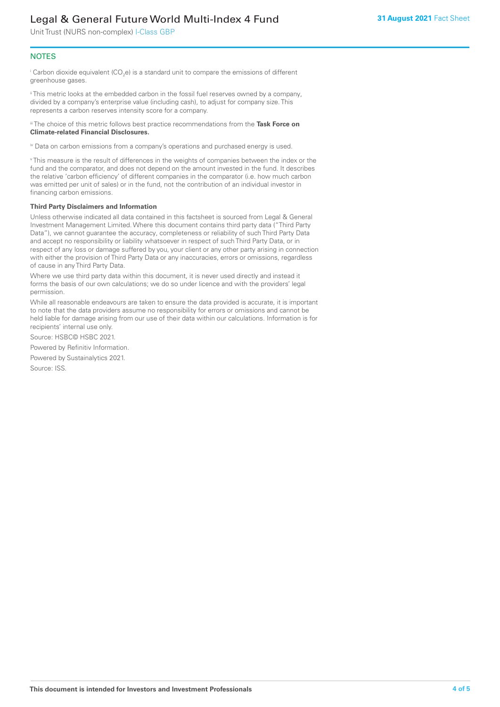Unit Trust (NURS non-complex) I-Class GBP

#### **NOTES**

 $^\mathrm{i}$  Carbon dioxide equivalent (CO<sub>2</sub>e) is a standard unit to compare the emissions of different greenhouse gases.

ii This metric looks at the embedded carbon in the fossil fuel reserves owned by a company, divided by a company's enterprise value (including cash), to adjust for company size. This represents a carbon reserves intensity score for a company.

iii The choice of this metric follows best practice recommendations from the **Task Force on Climate-related Financial Disclosures.**

iv Data on carbon emissions from a company's operations and purchased energy is used.

v This measure is the result of differences in the weights of companies between the index or the fund and the comparator, and does not depend on the amount invested in the fund. It describes the relative 'carbon efficiency' of different companies in the comparator (i.e. how much carbon was emitted per unit of sales) or in the fund, not the contribution of an individual investor in financing carbon emissions.

#### **Third Party Disclaimers and Information**

Unless otherwise indicated all data contained in this factsheet is sourced from Legal & General Investment Management Limited. Where this document contains third party data ("Third Party Data"), we cannot guarantee the accuracy, completeness or reliability of such Third Party Data and accept no responsibility or liability whatsoever in respect of such Third Party Data, or in respect of any loss or damage suffered by you, your client or any other party arising in connection with either the provision of Third Party Data or any inaccuracies, errors or omissions, regardless of cause in any Third Party Data.

Where we use third party data within this document, it is never used directly and instead it forms the basis of our own calculations; we do so under licence and with the providers' legal permission.

While all reasonable endeavours are taken to ensure the data provided is accurate, it is important to note that the data providers assume no responsibility for errors or omissions and cannot be held liable for damage arising from our use of their data within our calculations. Information is for recipients' internal use only.

Source: HSBC© HSBC 2021.

Powered by Refinitiv Information.

Powered by Sustainalytics 2021.

Source: ISS.